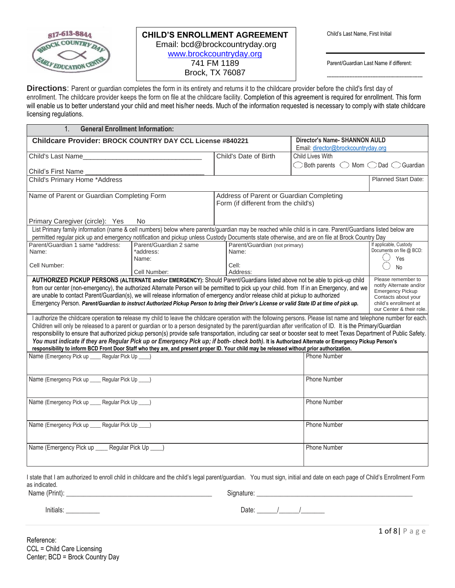

-----------------------------------------------------------

**Directions**: Parent or guardian completes the form in its entirety and returns it to the childcare provider before the child's first day of enrollment. The childcare provider keeps the form on file at the childcare facility. Completion of this agreement is required for enrollment. This form will enable us to better understand your child and meet his/her needs. Much of the information requested is necessary to comply with state childcare licensing regulations.

| <b>General Enrollment Information:</b><br>1.                                                                                                                                                                                                                                                                                         |                        |                                          |                                                                           |                                                    |
|--------------------------------------------------------------------------------------------------------------------------------------------------------------------------------------------------------------------------------------------------------------------------------------------------------------------------------------|------------------------|------------------------------------------|---------------------------------------------------------------------------|----------------------------------------------------|
| <b>Childcare Provider: BROCK COUNTRY DAY CCL License #840221</b>                                                                                                                                                                                                                                                                     |                        |                                          | Director's Name- SHANNON AULD<br>Email: director@brockcountryday.org      |                                                    |
| Child's Last Name                                                                                                                                                                                                                                                                                                                    |                        | Child's Date of Birth                    | Child Lives With                                                          |                                                    |
| Child's First Name                                                                                                                                                                                                                                                                                                                   |                        |                                          | $\bigcirc$ Both parents $\bigcirc$ Mom $\bigcirc$ Dad $\bigcirc$ Guardian |                                                    |
| Child's Primary Home *Address                                                                                                                                                                                                                                                                                                        |                        |                                          |                                                                           | <b>Planned Start Date:</b>                         |
|                                                                                                                                                                                                                                                                                                                                      |                        |                                          |                                                                           |                                                    |
| Name of Parent or Guardian Completing Form                                                                                                                                                                                                                                                                                           |                        | Address of Parent or Guardian Completing |                                                                           |                                                    |
|                                                                                                                                                                                                                                                                                                                                      |                        | Form (if different from the child's)     |                                                                           |                                                    |
| Primary Caregiver (circle): Yes                                                                                                                                                                                                                                                                                                      | No.                    |                                          |                                                                           |                                                    |
| List Primary family information (name & cell numbers) below where parents/guardian may be reached while child is in care. Parent/Guardians listed below are                                                                                                                                                                          |                        |                                          |                                                                           |                                                    |
| permitted regular pick up and emergency notification and pickup unless Custody Documents state otherwise, and are on file at Brock Country Day                                                                                                                                                                                       |                        |                                          |                                                                           |                                                    |
| Parent/Guardian 1 same *address:                                                                                                                                                                                                                                                                                                     | Parent/Guardian 2 same | Parent/Guardian (not primary)            |                                                                           | If applicable, Custody<br>Documents on file @ BCD: |
| Name:                                                                                                                                                                                                                                                                                                                                | *address:<br>Name:     | Name:                                    |                                                                           | Yes                                                |
| Cell Number:                                                                                                                                                                                                                                                                                                                         |                        | Cell:                                    |                                                                           | N <sub>o</sub>                                     |
|                                                                                                                                                                                                                                                                                                                                      | Cell Number:           | Address:                                 |                                                                           |                                                    |
| AUTHORIZED PICKUP PERSONS (ALTERNATE and/or EMERGENCY): Should Parent/Guardians listed above not be able to pick-up child                                                                                                                                                                                                            |                        |                                          |                                                                           | Please remember to                                 |
| from our center (non-emergency), the authorized Alternate Person will be permitted to pick up your child. from If in an Emergency, and we                                                                                                                                                                                            |                        |                                          |                                                                           | notify Alternate and/or<br><b>Emergency Pickup</b> |
| are unable to contact Parent/Guardian(s), we will release information of emergency and/or release child at pickup to authorized                                                                                                                                                                                                      |                        |                                          |                                                                           | Contacts about your                                |
| Emergency Person. Parent/Guardian to instruct Authorized Pickup Person to bring their Driver's License or valid State ID at time of pick up.                                                                                                                                                                                         |                        |                                          |                                                                           | child's enrollment at                              |
|                                                                                                                                                                                                                                                                                                                                      |                        |                                          |                                                                           | our Center & their role.                           |
| I authorize the childcare operation to release my child to leave the childcare operation with the following persons. Please list name and telephone number for each.                                                                                                                                                                 |                        |                                          |                                                                           |                                                    |
| Children will only be released to a parent or guardian or to a person designated by the parent/guardian after verification of ID. It is the Primary/Guardian<br>responsibility to ensure that authorized pickup person(s) provide safe transportation, including car seat or booster seat to meet Texas Department of Public Safety. |                        |                                          |                                                                           |                                                    |
| You must indicate if they are Regular Pick up or Emergency Pick up; if both- check both). It is Authorized Alternate or Emergency Pickup Person's                                                                                                                                                                                    |                        |                                          |                                                                           |                                                    |
| responsibility to inform BCD Front Door Staff who they are, and present proper ID. Your child may be released without prior authorization.                                                                                                                                                                                           |                        |                                          |                                                                           |                                                    |
| Name (Emergency Pick up _____ Regular Pick Up                                                                                                                                                                                                                                                                                        |                        |                                          | <b>Phone Number</b>                                                       |                                                    |
|                                                                                                                                                                                                                                                                                                                                      |                        |                                          |                                                                           |                                                    |
|                                                                                                                                                                                                                                                                                                                                      |                        |                                          |                                                                           |                                                    |
| Name (Emergency Pick up ____ Regular Pick Up ___)                                                                                                                                                                                                                                                                                    |                        |                                          | <b>Phone Number</b>                                                       |                                                    |
|                                                                                                                                                                                                                                                                                                                                      |                        |                                          |                                                                           |                                                    |
|                                                                                                                                                                                                                                                                                                                                      |                        |                                          |                                                                           |                                                    |
| Name (Emergency Pick up ____ Regular Pick Up ___)                                                                                                                                                                                                                                                                                    |                        |                                          | <b>Phone Number</b>                                                       |                                                    |
|                                                                                                                                                                                                                                                                                                                                      |                        |                                          |                                                                           |                                                    |
| Name (Emergency Pick up ____ Regular Pick Up ___)                                                                                                                                                                                                                                                                                    |                        |                                          | <b>Phone Number</b>                                                       |                                                    |
|                                                                                                                                                                                                                                                                                                                                      |                        |                                          |                                                                           |                                                    |
|                                                                                                                                                                                                                                                                                                                                      |                        |                                          |                                                                           |                                                    |
| Regular Pick Up<br>Name (Emergency Pick up ___<br><b>Phone Number</b>                                                                                                                                                                                                                                                                |                        |                                          |                                                                           |                                                    |
|                                                                                                                                                                                                                                                                                                                                      |                        |                                          |                                                                           |                                                    |
|                                                                                                                                                                                                                                                                                                                                      |                        |                                          |                                                                           |                                                    |

I state that I am authorized to enroll child in childcare and the child's legal parent/guardian. You must sign, initial and date on each page of Child's Enrollment Form as indicated. Name (Print): \_\_\_\_\_\_\_\_\_\_\_\_\_\_\_\_\_\_\_\_\_\_\_\_\_\_\_\_\_\_\_\_\_\_\_\_\_\_\_\_\_\_\_ Signature: \_\_\_\_\_\_\_\_\_\_\_\_\_\_\_\_\_\_\_\_\_\_\_\_\_\_\_\_\_\_\_\_\_\_\_\_\_\_\_\_\_\_\_\_\_\_

Initials: \_\_\_\_\_\_\_\_\_\_ Date: \_\_\_\_\_\_/\_\_\_\_\_\_/\_\_\_\_\_\_\_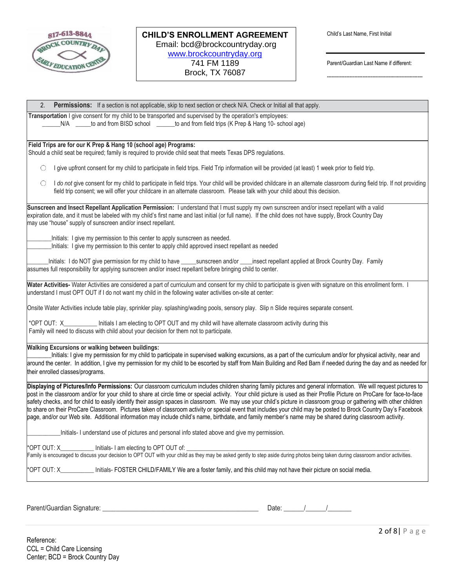

-----------------------------------------------------------

| <b>Permissions:</b> If a section is not applicable, skip to next section or check N/A. Check or Initial all that apply.<br>2.                                                                                                                                                                                                                                                                                                                                                                                                                                                                                                                                                                                                                                                                                                                          |
|--------------------------------------------------------------------------------------------------------------------------------------------------------------------------------------------------------------------------------------------------------------------------------------------------------------------------------------------------------------------------------------------------------------------------------------------------------------------------------------------------------------------------------------------------------------------------------------------------------------------------------------------------------------------------------------------------------------------------------------------------------------------------------------------------------------------------------------------------------|
| Transportation I give consent for my child to be transported and supervised by the operation's employees:<br>N/A ______to and from BISD school _______to and from field trips (K Prep & Hang 10- school age)                                                                                                                                                                                                                                                                                                                                                                                                                                                                                                                                                                                                                                           |
| Field Trips are for our K Prep & Hang 10 (school age) Programs:                                                                                                                                                                                                                                                                                                                                                                                                                                                                                                                                                                                                                                                                                                                                                                                        |
| Should a child seat be required; family is required to provide child seat that meets Texas DPS regulations.                                                                                                                                                                                                                                                                                                                                                                                                                                                                                                                                                                                                                                                                                                                                            |
| I give upfront consent for my child to participate in field trips. Field Trip information will be provided (at least) 1 week prior to field trip.<br>O                                                                                                                                                                                                                                                                                                                                                                                                                                                                                                                                                                                                                                                                                                 |
| $\bigcirc$<br>I do not give consent for my child to participate in field trips. Your child will be provided childcare in an alternate classroom during field trip. If not providing<br>field trip consent; we will offer your childcare in an alternate classroom. Please talk with your child about this decision.                                                                                                                                                                                                                                                                                                                                                                                                                                                                                                                                    |
| Sunscreen and Insect Repellant Application Permission: I understand that I must supply my own sunscreen and/or insect repellant with a valid                                                                                                                                                                                                                                                                                                                                                                                                                                                                                                                                                                                                                                                                                                           |
| expiration date, and it must be labeled with my child's first name and last initial (or full name). If the child does not have supply, Brock Country Day<br>may use "house" supply of sunscreen and/or insect repellant.                                                                                                                                                                                                                                                                                                                                                                                                                                                                                                                                                                                                                               |
|                                                                                                                                                                                                                                                                                                                                                                                                                                                                                                                                                                                                                                                                                                                                                                                                                                                        |
| Initials: I give my permission to this center to apply sunscreen as needed.<br>Initials: I give my permission to this center to apply child approved insect repellant as needed                                                                                                                                                                                                                                                                                                                                                                                                                                                                                                                                                                                                                                                                        |
| Initials: I do NOT give permission for my child to have ______sunscreen and/or ____insect repellant applied at Brock Country Day. Family<br>assumes full responsibility for applying sunscreen and/or insect repellant before bringing child to center.                                                                                                                                                                                                                                                                                                                                                                                                                                                                                                                                                                                                |
| Water Activities- Water Activities are considered a part of curriculum and consent for my child to participate is given with signature on this enrollment form. I<br>understand I must OPT OUT if I do not want my child in the following water activities on-site at center:                                                                                                                                                                                                                                                                                                                                                                                                                                                                                                                                                                          |
| Onsite Water Activities include table play, sprinkler play. splashing/wading pools, sensory play. Slip n Slide requires separate consent.                                                                                                                                                                                                                                                                                                                                                                                                                                                                                                                                                                                                                                                                                                              |
| *OPT OUT: X_____________ Initials I am electing to OPT OUT and my child will have alternate classroom activity during this<br>Family will need to discuss with child about your decision for them not to participate.                                                                                                                                                                                                                                                                                                                                                                                                                                                                                                                                                                                                                                  |
| <b>Walking Excursions or walking between buildings:</b><br>Initials: I give my permission for my child to participate in supervised walking excursions, as a part of the curriculum and/or for physical activity, near and<br>around the center. In addition, I give my permission for my child to be escorted by staff from Main Building and Red Barn if needed during the day and as needed for<br>their enrolled classes/programs.                                                                                                                                                                                                                                                                                                                                                                                                                 |
| Displaying of Pictures/Info Permissions: Our classroom curriculum includes children sharing family pictures and general information. We will request pictures to<br>post in the classroom and/or for your child to share at circle time or special activity. Your child picture is used as their Profile Picture on ProCare for face-to-face<br>safety checks, and for child to easily identify their assign spaces in classroom. We may use your child's picture in classroom group or gathering with other children<br>to share on their ProCare Classroom. Pictures taken of classroom activity or special event that includes your child may be posted to Brock Country Day's Facebook<br>page, and/or our Web site. Additional information may include child's name, birthdate, and family member's name may be shared during classroom activity. |
| Initials- I understand use of pictures and personal info stated above and give my permission.                                                                                                                                                                                                                                                                                                                                                                                                                                                                                                                                                                                                                                                                                                                                                          |
| Initials- I am electing to OPT OUT of:<br>*OPT OUT: X<br>Family is encouraged to discuss your decision to OPT OUT with your child as they may be asked gently to step aside during photos being taken during classroom and/or activities.                                                                                                                                                                                                                                                                                                                                                                                                                                                                                                                                                                                                              |
| *OPT OUT: X_____________ Initials- FOSTER CHILD/FAMILY We are a foster family, and this child may not have their picture on social media.                                                                                                                                                                                                                                                                                                                                                                                                                                                                                                                                                                                                                                                                                                              |
|                                                                                                                                                                                                                                                                                                                                                                                                                                                                                                                                                                                                                                                                                                                                                                                                                                                        |

Parent/Guardian Signature: \_\_\_\_\_\_\_\_\_\_\_\_\_\_\_\_\_\_\_\_\_\_\_\_\_\_\_\_\_\_\_\_\_\_\_\_\_\_\_\_\_\_\_\_\_\_ Date: \_\_\_\_\_\_/\_\_\_\_\_\_/\_\_\_\_\_\_\_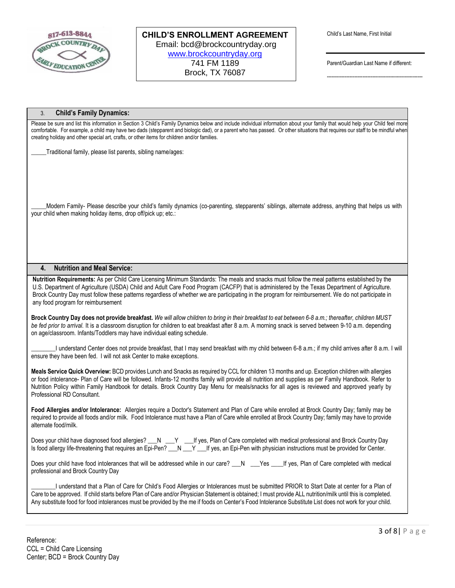

-----------------------------------------------------------

### 3. **Child's Family Dynamics:**

Please be sure and list this information in Section 3 Child's Family Dynamics below and include individual information about your family that would help your Child feel more comfortable. For example, a child may have two dads (stepparent and biologic dad), or a parent who has passed. Or other situations that requires our staff to be mindful when creating holiday and other special art, crafts, or other items for children and/or families.

Traditional family, please list parents, sibling name/ages:

Modern Family- Please describe your child's family dynamics (co-parenting, stepparents' siblings, alternate address, anything that helps us with your child when making holiday items, drop off/pick up; etc.:

#### **4. Nutrition and Meal Service:**

**Nutrition Requirements:** As per Child Care Licensing Minimum Standards: The meals and snacks must follow the meal patterns established by the U.S. Department of Agriculture (USDA) Child and Adult Care Food Program (CACFP) that is administered by the Texas Department of Agriculture. Brock Country Day must follow these patterns regardless of whether we are participating in the program for reimbursement. We do not participate in any food program for reimbursement

**Brock Country Day does not provide breakfast.** *We will allow children to bring in their breakfast to eat between 6-8 a.m.; thereafter, children MUST be fed prior to arrival.* It is a classroom disruption for children to eat breakfast after 8 a.m. A morning snack is served between 9-10 a.m. depending on age/classroom. Infants/Toddlers may have individual eating schedule.

I understand Center does not provide breakfast, that I may send breakfast with my child between 6-8 a.m.; if my child arrives after 8 a.m. I will ensure they have been fed. I will not ask Center to make exceptions.

**Meals Service Quick Overview:** BCD provides Lunch and Snacks as required by CCL for children 13 months and up. Exception children with allergies or food intolerance- Plan of Care will be followed. Infants-12 months family will provide all nutrition and supplies as per Family Handbook. Refer to Nutrition Policy within Family Handbook for details. Brock Country Day Menu for meals/snacks for all ages is reviewed and approved yearly by Professional RD Consultant.

**Food Allergies and/or Intolerance:** Allergies require a Doctor's Statement and Plan of Care while enrolled at Brock Country Day; family may be required to provide all foods and/or milk. Food Intolerance must have a Plan of Care while enrolled at Brock Country Day; family may have to provide alternate food/milk.

Does your child have diagnosed food allergies? \_\_\_N \_\_\_Y \_\_\_\_If yes, Plan of Care completed with medical professional and Brock Country Day Is food allergy life-threatening that requires an Epi-Pen? \_\_N \_\_Y \_\_\_If yes, an Epi-Pen with physician instructions must be provided for Center.

Does your child have food intolerances that will be addressed while in our care? \_\_N \_\_\_Yes \_\_\_If yes, Plan of Care completed with medical professional and Brock Country Day

\_\_\_\_\_\_\_\_I understand that a Plan of Care for Child's Food Allergies or Intolerances must be submitted PRIOR to Start Date at center for a Plan of Care to be approved. If child starts before Plan of Care and/or Physician Statement is obtained; I must provide ALL nutrition/milk until this is completed. Any substitute food for food intolerances must be provided by the me if foods on Center's Food Intolerance Substitute List does not work for your child.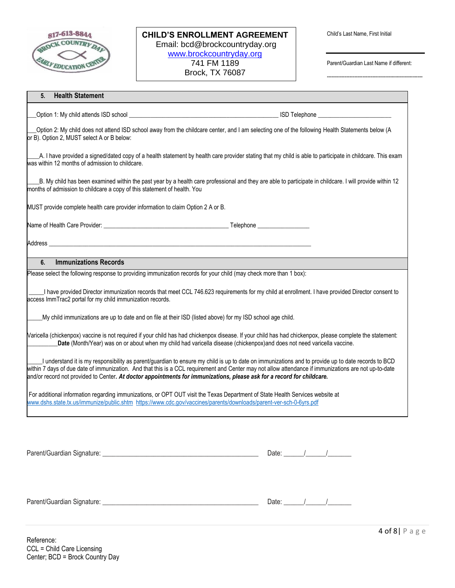

**CHILD'S ENROLLMENT AGREEMENT** Email: bcd@brockcountryday.org [www.brockcountryday.org](http://www.brockcountryday.org/) 741 FM 1189 Brock, TX 76087

Parent/Guardian Last Name if different:

-----------------------------------------------------------

| <b>Health Statement</b><br>5.                                                                                                                                                                                                                       |                                                                                                                                                                                                                                                                                                             |
|-----------------------------------------------------------------------------------------------------------------------------------------------------------------------------------------------------------------------------------------------------|-------------------------------------------------------------------------------------------------------------------------------------------------------------------------------------------------------------------------------------------------------------------------------------------------------------|
|                                                                                                                                                                                                                                                     |                                                                                                                                                                                                                                                                                                             |
| or B). Option 2, MUST select A or B below:                                                                                                                                                                                                          | Option 2: My child does not attend ISD school away from the childcare center, and I am selecting one of the following Health Statements below (A                                                                                                                                                            |
| was within 12 months of admission to childcare.                                                                                                                                                                                                     | A. I have provided a signed/dated copy of a health statement by health care provider stating that my child is able to participate in childcare. This exam                                                                                                                                                   |
| months of admission to childcare a copy of this statement of health. You                                                                                                                                                                            | B. My child has been examined within the past year by a health care professional and they are able to participate in childcare. I will provide within 12                                                                                                                                                    |
| MUST provide complete health care provider information to claim Option 2 A or B.                                                                                                                                                                    |                                                                                                                                                                                                                                                                                                             |
|                                                                                                                                                                                                                                                     |                                                                                                                                                                                                                                                                                                             |
| Address contract to the contract of the contract of the contract of the contract of the contract of the contract of the contract of the contract of the contract of the contract of the contract of the contract of the contra                      |                                                                                                                                                                                                                                                                                                             |
| <b>Immunizations Records</b><br>6.                                                                                                                                                                                                                  |                                                                                                                                                                                                                                                                                                             |
| Please select the following response to providing immunization records for your child (may check more than 1 box):                                                                                                                                  |                                                                                                                                                                                                                                                                                                             |
| access ImmTrac2 portal for my child immunization records.                                                                                                                                                                                           | I have provided Director immunization records that meet CCL 746.623 requirements for my child at enrollment. I have provided Director consent to                                                                                                                                                            |
| My child immunizations are up to date and on file at their ISD (listed above) for my ISD school age child.                                                                                                                                          |                                                                                                                                                                                                                                                                                                             |
|                                                                                                                                                                                                                                                     | Naricella (chickenpox) vaccine is not required if your child has had chickenpox disease. If your child has had chickenpox, please complete the statement:<br>Date (Month/Year) was on or about when my child had varicella disease (chickenpox)and does not need varicella vaccine.                         |
| and/or record not provided to Center. At doctor appointments for immunizations, please ask for a record for childcare.                                                                                                                              | I understand it is my responsibility as parent/guardian to ensure my child is up to date on immunizations and to provide up to date records to BCD<br>within 7 days of due date of immunization. And that this is a CCL requirement and Center may not allow attendance if immunizations are not up-to-date |
| For additional information regarding immunizations, or OPT OUT visit the Texas Department of State Health Services website at<br>www.dshs.state.tx.us/immunize/public.shtm https://www.cdc.gov/vaccines/parents/downloads/parent-ver-sch-0-6yrs.pdf |                                                                                                                                                                                                                                                                                                             |
|                                                                                                                                                                                                                                                     |                                                                                                                                                                                                                                                                                                             |
|                                                                                                                                                                                                                                                     | Date: $\frac{1}{\sqrt{2\pi}}$                                                                                                                                                                                                                                                                               |
|                                                                                                                                                                                                                                                     |                                                                                                                                                                                                                                                                                                             |
|                                                                                                                                                                                                                                                     | Date: $\frac{1}{\sqrt{2\pi}}$                                                                                                                                                                                                                                                                               |

4 of 8| P a g e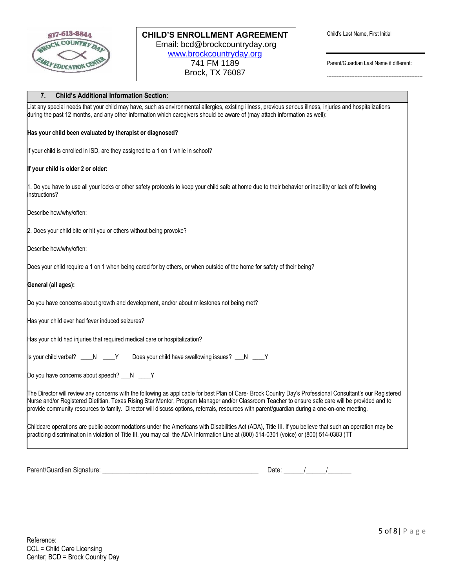

-----------------------------------------------------------

 $\mathcal{L}=\mathcal{L}=\mathcal{L}=\mathcal{L}=\mathcal{L}=\mathcal{L}=\mathcal{L}=\mathcal{L}=\mathcal{L}=\mathcal{L}=\mathcal{L}=\mathcal{L}=\mathcal{L}=\mathcal{L}=\mathcal{L}=\mathcal{L}=\mathcal{L}=\mathcal{L}=\mathcal{L}=\mathcal{L}=\mathcal{L}=\mathcal{L}=\mathcal{L}=\mathcal{L}=\mathcal{L}=\mathcal{L}=\mathcal{L}=\mathcal{L}=\mathcal{L}=\mathcal{L}=\mathcal{L}=\mathcal{L}=\mathcal{L}=\mathcal{L}=\mathcal{L}=\mathcal{L}=\mathcal{$ 

# **7. Child's Additional Information Section:**

List any special needs that your child may have, such as environmental allergies, existing illness, previous serious illness, injuries and hospitalizations during the past 12 months, and any other information which caregivers should be aware of (may attach information as well): **Has your child been evaluated by therapist or diagnosed?** If your child is enrolled in ISD, are they assigned to a 1 on 1 while in school? **If your child is older 2 or older:** 1. Do you have to use all your locks or other safety protocols to keep your child safe at home due to their behavior or inability or lack of following instructions? Describe how/why/often: 2. Does your child bite or hit you or others without being provoke? Describe how/why/often: Does your child require a 1 on 1 when being cared for by others, or when outside of the home for safety of their being? **General (all ages):** Do you have concerns about growth and development, and/or about milestones not being met? Has your child ever had fever induced seizures? Has your child had injuries that required medical care or hospitalization? Is your child verbal? \_\_\_\_N \_\_\_\_Y Does your child have swallowing issues? \_\_N \_\_\_Y Do you have concerns about speech? \_\_\_N \_\_\_\_Y The Director will review any concerns with the following as applicable for best Plan of Care- Brock Country Day's Professional Consultant's our Registered Nurse and/or Registered Dietitian. Texas Rising Star Mentor, Program Manager and/or Classroom Teacher to ensure safe care will be provided and to provide community resources to family. Director will discuss options, referrals, resources with parent/guardian during a one-on-one meeting. Childcare operations are public accommodations under the Americans with Disabilities Act (ADA), Title III. If you believe that such an operation may be practicing discrimination in violation of Title III, you may call the ADA Information Line at (800) 514-0301 (voice) or (800) 514-0383 (TT

Parent/Guardian Signature:  $\begin{array}{ccccccccccccc}\n\end{array}$   $\begin{array}{ccccccccc}\n\end{array}$   $\begin{array}{ccccccccc}\n\end{array}$   $\begin{array}{ccccccccc}\n\end{array}$   $\begin{array}{ccccccccc}\n\end{array}$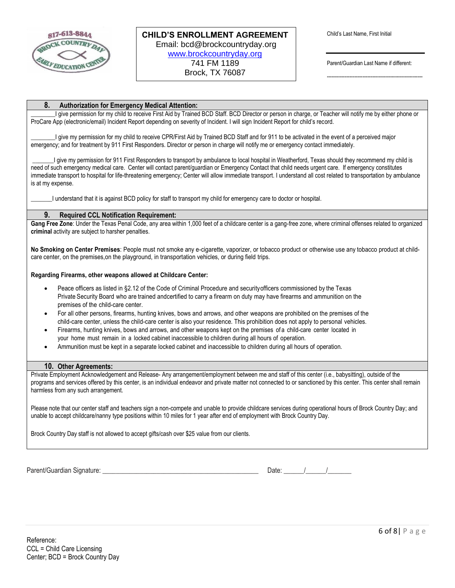

-----------------------------------------------------------

## **8. Authorization for Emergency Medical Attention:**

I give permission for my child to receive First Aid by Trained BCD Staff. BCD Director or person in charge, or Teacher will notify me by either phone or ProCare App (electronic/email) Incident Report depending on severity of Incident. I will sign Incident Report for child's record.

I give my permission for my child to receive CPR/First Aid by Trained BCD Staff and for 911 to be activated in the event of a perceived major emergency; and for treatment by 911 First Responders. Director or person in charge will notify me or emergency contact immediately.

I give my permission for 911 First Responders to transport by ambulance to local hospital in Weatherford, Texas should they recommend my child is need of such emergency medical care. Center will contact parent/guardian or Emergency Contact that child needs urgent care. If emergency constitutes immediate transport to hospital for life-threatening emergency; Center will allow immediate transport. I understand all cost related to transportation by ambulance is at my expense.

\_\_\_\_\_\_\_I understand that it is against BCD policy for staff to transport my child for emergency care to doctor or hospital.

#### **9. Required CCL Notification Requirement:**

Gang Free Zone: Under the Texas Penal Code, any area within 1,000 feet of a childcare center is a gang-free zone, where criminal offenses related to organized **criminal** activity are subject to harsher penalties.

**No Smoking on Center Premises**: People must not smoke any e-cigarette, vaporizer, or tobacco product or otherwise use any tobacco product at childcare center, on the premises,on the playground, in transportation vehicles, or during field trips.

#### **Regarding Firearms, other weapons allowed at Childcare Center:**

- Peace officers as listed in §2.12 of the Code of Criminal Procedure and securityofficers commissioned by the Texas Private Security Board who are trained andcertified to carry a firearm on duty may have firearms and ammunition on the premises of the child-care center.
- For all other persons, firearms, hunting knives, bows and arrows, and other weapons are prohibited on the premises of the child-care center, unless the child-care center is also your residence. This prohibition does not apply to personal vehicles.
- Firearms, hunting knives, bows and arrows, and other weapons kept on the premises of a child-care center located in your home must remain in a locked cabinet inaccessible to children during all hours of operation.
- Ammunition must be kept in a separate locked cabinet and inaccessible to children during all hours of operation.

#### **10. Other Agreements:**

Private Employment Acknowledgement and Release- Any arrangement/employment between me and staff of this center (i.e., babysitting), outside of the programs and services offered by this center, is an individual endeavor and private matter not connected to or sanctioned by this center. This center shall remain harmless from any such arrangement.

Please note that our center staff and teachers sign a non-compete and unable to provide childcare services during operational hours of Brock Country Day; and unable to accept childcare/nanny type positions within 10 miles for 1 year after end of employment with Brock Country Day.

Brock Country Day staff is not allowed to accept gifts/cash over \$25 value from our clients.

Parent/Guardian Signature: \_\_\_\_\_\_\_\_\_\_\_\_\_\_\_\_\_\_\_\_\_\_\_\_\_\_\_\_\_\_\_\_\_\_\_\_\_\_\_\_\_\_\_\_\_\_ Date: \_\_\_\_\_\_/\_\_\_\_\_\_/\_\_\_\_\_\_\_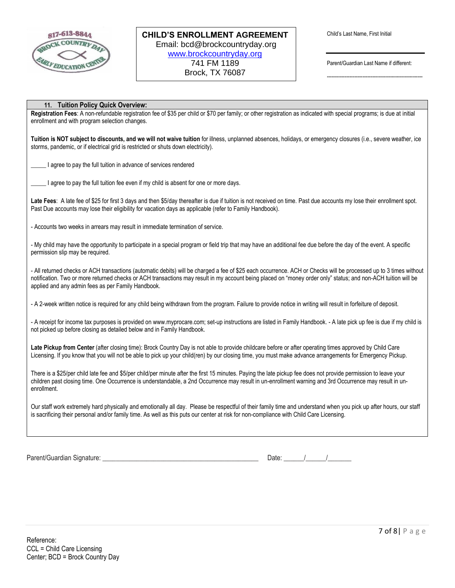

-----------------------------------------------------------

### **11. Tuition Policy Quick Overview:**

**Registration Fees**: A non-refundable registration fee of \$35 per child or \$70 per family; or other registration as indicated with special programs; is due at initial enrollment and with program selection changes.

**Tuition is NOT subject to discounts, and we will not waive tuition** for illness, unplanned absences, holidays, or emergency closures (i.e., severe weather, ice storms, pandemic, or if electrical grid is restricted or shuts down electricity).

I agree to pay the full tuition in advance of services rendered

\_\_\_\_\_ I agree to pay the full tuition fee even if my child is absent for one or more days.

Late Fees: A late fee of \$25 for first 3 days and then \$5/day thereafter is due if tuition is not received on time. Past due accounts my lose their enrollment spot. Past Due accounts may lose their eligibility for vacation days as applicable (refer to Family Handbook).

- Accounts two weeks in arrears may result in immediate termination of service.

- My child may have the opportunity to participate in a special program or field trip that may have an additional fee due before the day of the event. A specific permission slip may be required.

- All returned checks or ACH transactions (automatic debits) will be charged a fee of \$25 each occurrence. ACH or Checks will be processed up to 3 times without notification. Two or more returned checks or ACH transactions may result in my account being placed on "money order only" status; and non-ACH tuition will be applied and any admin fees as per Family Handbook.

- A 2-week written notice is required for any child being withdrawn from the program. Failure to provide notice in writing will result in forfeiture of deposit.

- A receipt for income tax purposes is provided on www.myprocare.com; set-up instructions are listed in Family Handbook. - A late pick up fee is due if my child is not picked up before closing as detailed below and in Family Handbook.

**Late Pickup from Center** (after closing time): Brock Country Day is not able to provide childcare before or after operating times approved by Child Care Licensing. If you know that you will not be able to pick up your child(ren) by our closing time, you must make advance arrangements for Emergency Pickup.

There is a \$25/per child late fee and \$5/per child/per minute after the first 15 minutes. Paying the late pickup fee does not provide permission to leave your children past closing time. One Occurrence is understandable, a 2nd Occurrence may result in un-enrollment warning and 3rd Occurrence may result in unenrollment.

Our staff work extremely hard physically and emotionally all day. Please be respectful of their family time and understand when you pick up after hours, our staff is sacrificing their personal and/or family time. As well as this puts our center at risk for non-compliance with Child Care Licensing.

Parent/Guardian Signature: \_\_\_\_\_\_\_\_\_\_\_\_\_\_\_\_\_\_\_\_\_\_\_\_\_\_\_\_\_\_\_\_\_\_\_\_\_\_\_\_\_\_\_\_\_\_ Date: \_\_\_\_\_\_/\_\_\_\_\_\_/\_\_\_\_\_\_\_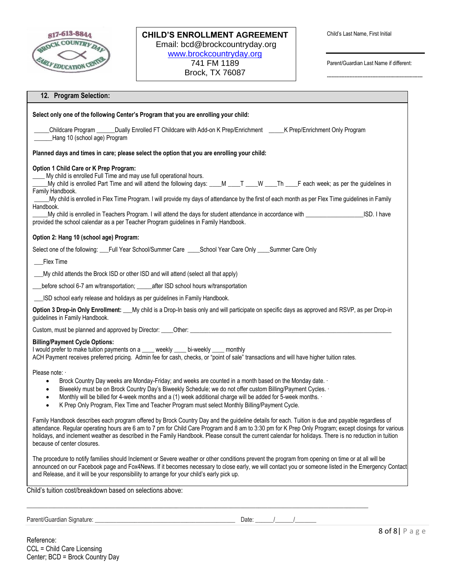

-----------------------------------------------------------

|                                                                         | Select only one of the following Center's Program that you are enrolling your child:                                                                                                                                                                                                                                                                                                                                                                                                                                                                                                                                                                                                               |
|-------------------------------------------------------------------------|----------------------------------------------------------------------------------------------------------------------------------------------------------------------------------------------------------------------------------------------------------------------------------------------------------------------------------------------------------------------------------------------------------------------------------------------------------------------------------------------------------------------------------------------------------------------------------------------------------------------------------------------------------------------------------------------------|
| Hang 10 (school age) Program                                            | Childcare Program ______Dually Enrolled FT Childcare with Add-on K Prep/Enrichment _____K Prep/Enrichment Only Program                                                                                                                                                                                                                                                                                                                                                                                                                                                                                                                                                                             |
|                                                                         | Planned days and times in care; please select the option that you are enrolling your child:                                                                                                                                                                                                                                                                                                                                                                                                                                                                                                                                                                                                        |
| Option 1 Child Care or K Prep Program:<br>Family Handbook.<br>Handbook. | My child is enrolled Full Time and may use full operational hours.<br>My child is enrolled Part Time and will attend the following days: ___M ___T ___W ___Th ___F each week; as per the guidelines in<br>My child is enrolled in Flex Time Program. I will provide my days of attendance by the first of each month as per Flex Time guidelines in Family<br>My child is enrolled in Teachers Program. I will attend the days for student attendance in accordance with electron and the matter of the matter of the matter of the matter of the matter of the matter of the matter of the<br>ISD. I have<br>provided the school calendar as a per Teacher Program guidelines in Family Handbook. |
| Option 2: Hang 10 (school age) Program:                                 |                                                                                                                                                                                                                                                                                                                                                                                                                                                                                                                                                                                                                                                                                                    |
|                                                                         | Select one of the following: __Full Year School/Summer Care ____School Year Care Only ____Summer Care Only                                                                                                                                                                                                                                                                                                                                                                                                                                                                                                                                                                                         |
| Flex Time                                                               |                                                                                                                                                                                                                                                                                                                                                                                                                                                                                                                                                                                                                                                                                                    |
|                                                                         | My child attends the Brock ISD or other ISD and will attend (select all that apply)                                                                                                                                                                                                                                                                                                                                                                                                                                                                                                                                                                                                                |
|                                                                         | before school 6-7 am w/transportation; _____after ISD school hours w/transportation                                                                                                                                                                                                                                                                                                                                                                                                                                                                                                                                                                                                                |
|                                                                         | _ISD school early release and holidays as per guidelines in Family Handbook.                                                                                                                                                                                                                                                                                                                                                                                                                                                                                                                                                                                                                       |
| guidelines in Family Handbook.                                          | Option 3 Drop-in Only Enrollment: ___My child is a Drop-In basis only and will participate on specific days as approved and RSVP, as per Drop-in                                                                                                                                                                                                                                                                                                                                                                                                                                                                                                                                                   |
|                                                                         |                                                                                                                                                                                                                                                                                                                                                                                                                                                                                                                                                                                                                                                                                                    |
| <b>Billing/Payment Cycle Options:</b>                                   | I would prefer to make tuition payments on a ____ weekly ____ bi-weekly ____ monthly<br>ACH Payment receives preferred pricing. Admin fee for cash, checks, or "point of sale" transactions and will have higher tuition rates.                                                                                                                                                                                                                                                                                                                                                                                                                                                                    |
|                                                                         | Brock Country Day weeks are Monday-Friday; and weeks are counted in a month based on the Monday date. .                                                                                                                                                                                                                                                                                                                                                                                                                                                                                                                                                                                            |
| Please note:<br>$\bullet$<br>$\bullet$<br>$\bullet$                     | Biweekly must be on Brock Country Day's Biweekly Schedule; we do not offer custom Billing/Payment Cycles. .<br>Monthly will be billed for 4-week months and a (1) week additional charge will be added for 5-week months. .<br>K Prep Only Program, Flex Time and Teacher Program must select Monthly Billing/Payment Cycle.                                                                                                                                                                                                                                                                                                                                                                       |
| because of center closures.                                             | Family Handbook describes each program offered by Brock Country Day and the guideline details for each. Tuition is due and payable regardless of<br>attendance. Regular operating hours are 6 am to 7 pm for Child Care Program and 8 am to 3:30 pm for K Prep Only Program; except closings for various<br>holidays, and inclement weather as described in the Family Handbook. Please consult the current calendar for holidays. There is no reduction in tuition                                                                                                                                                                                                                                |

 $\bot$  , and the state of the state of the state of the state of the state of the state of the state of the state of the state of the state of the state of the state of the state of the state of the state of the state of th

Parent/Guardian Signature: \_\_\_\_\_\_\_\_\_\_\_\_\_\_\_\_\_\_\_\_\_\_\_\_\_\_\_\_\_\_\_\_\_\_\_\_\_\_\_\_\_\_\_\_\_\_ Date: \_\_\_\_\_\_/\_\_\_\_\_\_/\_\_\_\_\_\_\_

Reference: CCL = Child Care Licensing Center; BCD = Brock Country Day